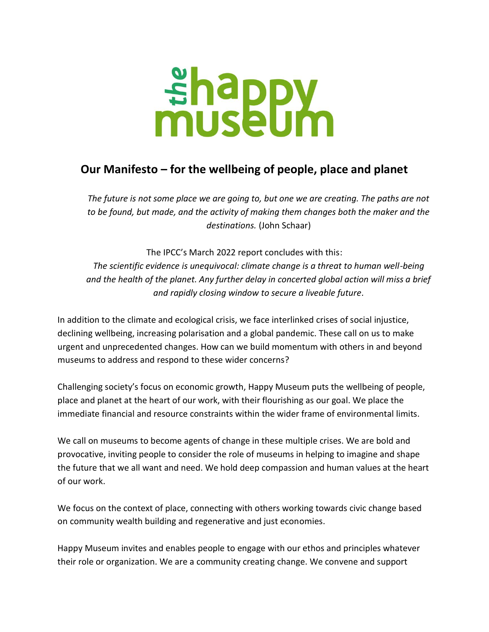## *<u>shappy</u>*<br>museum

## **Our Manifesto – for the wellbeing of people, place and planet**

*The future is not some place we are going to, but one we are creating. The paths are not to be found, but made, and the activity of making them changes both the maker and the destinations.* (John Schaar)

The IPCC's March 2022 report concludes with this: *The scientific evidence is unequivocal: climate change is a threat to human well-being and the health of the planet. Any further delay in concerted global action will miss a brief and rapidly closing window to secure a liveable future.*

In addition to the climate and ecological crisis, we face interlinked crises of social injustice, declining wellbeing, increasing polarisation and a global pandemic. These call on us to make urgent and unprecedented changes. How can we build momentum with others in and beyond museums to address and respond to these wider concerns?

Challenging society's focus on economic growth, Happy Museum puts the wellbeing of people, place and planet at the heart of our work, with their flourishing as our goal. We place the immediate financial and resource constraints within the wider frame of environmental limits.

We call on museums to become agents of change in these multiple crises. We are bold and provocative, inviting people to consider the role of museums in helping to imagine and shape the future that we all want and need. We hold deep compassion and human values at the heart of our work.

We focus on the context of place, connecting with others working towards civic change based on community wealth building and regenerative and just economies.

Happy Museum invites and enables people to engage with our ethos and principles whatever their role or organization. We are a community creating change. We convene and support